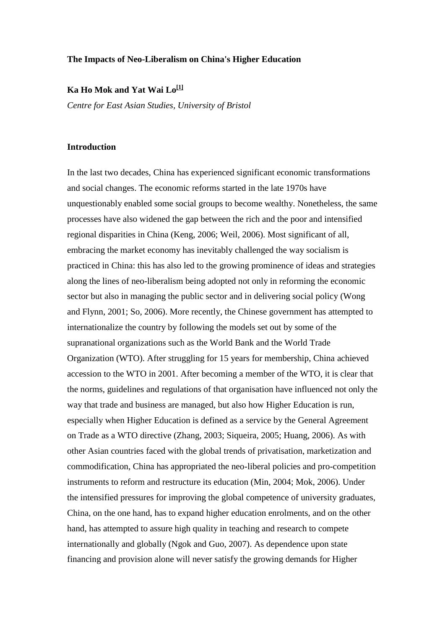#### **The Impacts of Neo-Liberalism on China's Higher Education**

### **Ka Ho Mok and Yat Wai Lo[\[1\]](http://www.jceps.com/index.php?pageID=article&articleID=93#_ftn1)**

*Centre for East Asian Studies, University of Bristol*

#### **Introduction**

In the last two decades, China has experienced significant economic transformations and social changes. The economic reforms started in the late 1970s have unquestionably enabled some social groups to become wealthy. Nonetheless, the same processes have also widened the gap between the rich and the poor and intensified regional disparities in China (Keng, 2006; Weil, 2006). Most significant of all, embracing the market economy has inevitably challenged the way socialism is practiced in China: this has also led to the growing prominence of ideas and strategies along the lines of neo-liberalism being adopted not only in reforming the economic sector but also in managing the public sector and in delivering social policy (Wong and Flynn, 2001; So, 2006). More recently, the Chinese government has attempted to internationalize the country by following the models set out by some of the supranational organizations such as the World Bank and the World Trade Organization (WTO). After struggling for 15 years for membership, China achieved accession to the WTO in 2001. After becoming a member of the WTO, it is clear that the norms, guidelines and regulations of that organisation have influenced not only the way that trade and business are managed, but also how Higher Education is run, especially when Higher Education is defined as a service by the General Agreement on Trade as a WTO directive (Zhang, 2003; Siqueira, 2005; Huang, 2006). As with other Asian countries faced with the global trends of privatisation, marketization and commodification, China has appropriated the neo-liberal policies and pro-competition instruments to reform and restructure its education (Min, 2004; Mok, 2006). Under the intensified pressures for improving the global competence of university graduates, China, on the one hand, has to expand higher education enrolments, and on the other hand, has attempted to assure high quality in teaching and research to compete internationally and globally (Ngok and Guo, 2007). As dependence upon state financing and provision alone will never satisfy the growing demands for Higher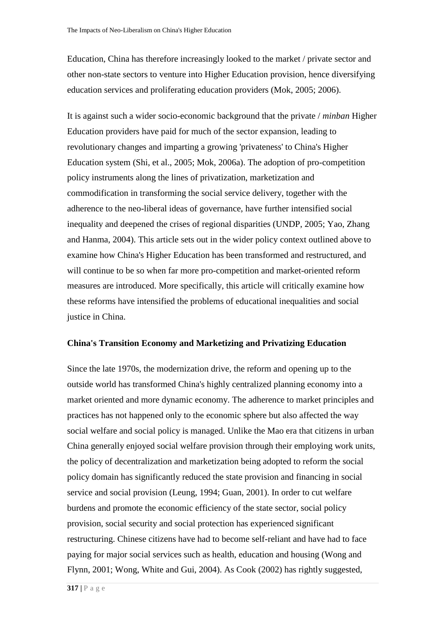Education, China has therefore increasingly looked to the market / private sector and other non-state sectors to venture into Higher Education provision, hence diversifying education services and proliferating education providers (Mok, 2005; 2006).

It is against such a wider socio-economic background that the private / *minban* Higher Education providers have paid for much of the sector expansion, leading to revolutionary changes and imparting a growing 'privateness' to China's Higher Education system (Shi, et al., 2005; Mok, 2006a). The adoption of pro-competition policy instruments along the lines of privatization, marketization and commodification in transforming the social service delivery, together with the adherence to the neo-liberal ideas of governance, have further intensified social inequality and deepened the crises of regional disparities (UNDP, 2005; Yao, Zhang and Hanma, 2004). This article sets out in the wider policy context outlined above to examine how China's Higher Education has been transformed and restructured, and will continue to be so when far more pro-competition and market-oriented reform measures are introduced. More specifically, this article will critically examine how these reforms have intensified the problems of educational inequalities and social justice in China.

### **China's Transition Economy and Marketizing and Privatizing Education**

Since the late 1970s, the modernization drive, the reform and opening up to the outside world has transformed China's highly centralized planning economy into a market oriented and more dynamic economy. The adherence to market principles and practices has not happened only to the economic sphere but also affected the way social welfare and social policy is managed. Unlike the Mao era that citizens in urban China generally enjoyed social welfare provision through their employing work units, the policy of decentralization and marketization being adopted to reform the social policy domain has significantly reduced the state provision and financing in social service and social provision (Leung, 1994; Guan, 2001). In order to cut welfare burdens and promote the economic efficiency of the state sector, social policy provision, social security and social protection has experienced significant restructuring. Chinese citizens have had to become self-reliant and have had to face paying for major social services such as health, education and housing (Wong and Flynn, 2001; Wong, White and Gui, 2004). As Cook (2002) has rightly suggested,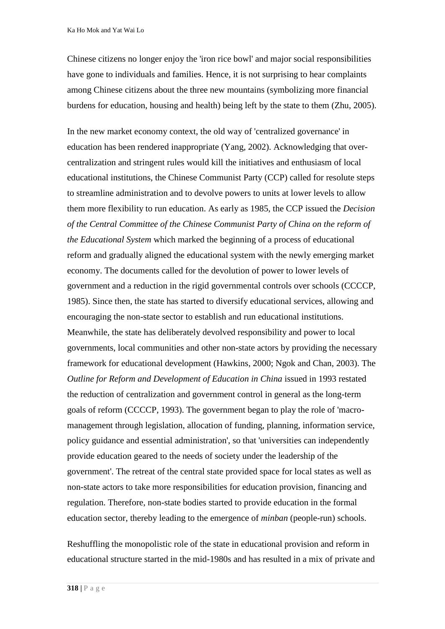Chinese citizens no longer enjoy the 'iron rice bowl' and major social responsibilities have gone to individuals and families. Hence, it is not surprising to hear complaints among Chinese citizens about the three new mountains (symbolizing more financial burdens for education, housing and health) being left by the state to them (Zhu, 2005).

In the new market economy context, the old way of 'centralized governance' in education has been rendered inappropriate (Yang, 2002). Acknowledging that overcentralization and stringent rules would kill the initiatives and enthusiasm of local educational institutions, the Chinese Communist Party (CCP) called for resolute steps to streamline administration and to devolve powers to units at lower levels to allow them more flexibility to run education. As early as 1985, the CCP issued the *Decision of the Central Committee of the Chinese Communist Party of China on the reform of the Educational System* which marked the beginning of a process of educational reform and gradually aligned the educational system with the newly emerging market economy. The documents called for the devolution of power to lower levels of government and a reduction in the rigid governmental controls over schools (CCCCP, 1985). Since then, the state has started to diversify educational services, allowing and encouraging the non-state sector to establish and run educational institutions. Meanwhile, the state has deliberately devolved responsibility and power to local governments, local communities and other non-state actors by providing the necessary framework for educational development (Hawkins, 2000; Ngok and Chan, 2003). The *Outline for Reform and Development of Education in China* issued in 1993 restated the reduction of centralization and government control in general as the long-term goals of reform (CCCCP, 1993). The government began to play the role of 'macromanagement through legislation, allocation of funding, planning, information service, policy guidance and essential administration', so that 'universities can independently provide education geared to the needs of society under the leadership of the government'. The retreat of the central state provided space for local states as well as non-state actors to take more responsibilities for education provision, financing and regulation. Therefore, non-state bodies started to provide education in the formal education sector, thereby leading to the emergence of *minban* (people-run) schools.

Reshuffling the monopolistic role of the state in educational provision and reform in educational structure started in the mid-1980s and has resulted in a mix of private and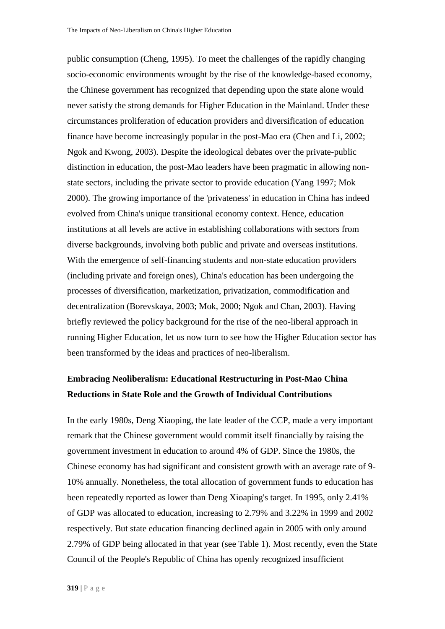public consumption (Cheng, 1995). To meet the challenges of the rapidly changing socio-economic environments wrought by the rise of the knowledge-based economy, the Chinese government has recognized that depending upon the state alone would never satisfy the strong demands for Higher Education in the Mainland. Under these circumstances proliferation of education providers and diversification of education finance have become increasingly popular in the post-Mao era (Chen and Li, 2002; Ngok and Kwong, 2003). Despite the ideological debates over the private-public distinction in education, the post-Mao leaders have been pragmatic in allowing nonstate sectors, including the private sector to provide education (Yang 1997; Mok 2000). The growing importance of the 'privateness' in education in China has indeed evolved from China's unique transitional economy context. Hence, education institutions at all levels are active in establishing collaborations with sectors from diverse backgrounds, involving both public and private and overseas institutions. With the emergence of self-financing students and non-state education providers (including private and foreign ones), China's education has been undergoing the processes of diversification, marketization, privatization, commodification and decentralization (Borevskaya, 2003; Mok, 2000; Ngok and Chan, 2003). Having briefly reviewed the policy background for the rise of the neo-liberal approach in running Higher Education, let us now turn to see how the Higher Education sector has been transformed by the ideas and practices of neo-liberalism.

# **Embracing Neoliberalism: Educational Restructuring in Post-Mao China Reductions in State Role and the Growth of Individual Contributions**

In the early 1980s, Deng Xiaoping, the late leader of the CCP, made a very important remark that the Chinese government would commit itself financially by raising the government investment in education to around 4% of GDP. Since the 1980s, the Chinese economy has had significant and consistent growth with an average rate of 9- 10% annually. Nonetheless, the total allocation of government funds to education has been repeatedly reported as lower than Deng Xioaping's target. In 1995, only 2.41% of GDP was allocated to education, increasing to 2.79% and 3.22% in 1999 and 2002 respectively. But state education financing declined again in 2005 with only around 2.79% of GDP being allocated in that year (see Table 1). Most recently, even the State Council of the People's Republic of China has openly recognized insufficient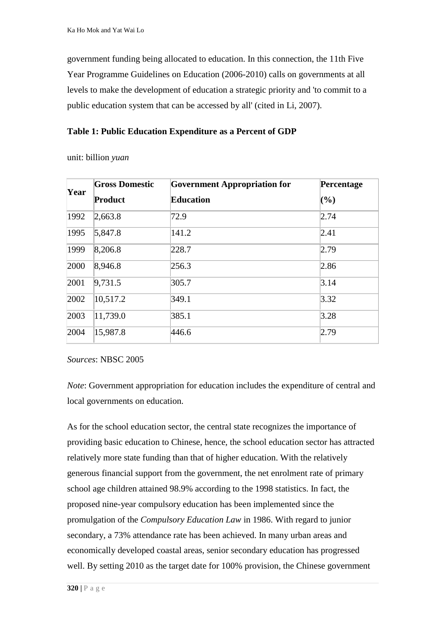government funding being allocated to education. In this connection, the 11th Five Year Programme Guidelines on Education (2006-2010) calls on governments at all levels to make the development of education a strategic priority and 'to commit to a public education system that can be accessed by all' (cited in Li, 2007).

## **Table 1: Public Education Expenditure as a Percent of GDP**

unit: billion *yuan*

| Year | <b>Gross Domestic</b> | <b>Government Appropriation for</b> | Percentage |  |
|------|-----------------------|-------------------------------------|------------|--|
|      | Product               | <b>Education</b>                    | (%)        |  |
| 1992 | 2,663.8               | 72.9                                | 2.74       |  |
| 1995 | 5,847.8               | 141.2                               | 2.41       |  |
| 1999 | 8,206.8               | 228.7                               | 2.79       |  |
| 2000 | 8,946.8               | 256.3                               | 2.86       |  |
| 2001 | 9,731.5               | 305.7                               | 3.14       |  |
| 2002 | 10,517.2              | 349.1                               | 3.32       |  |
| 2003 | 11,739.0              | 385.1                               | 3.28       |  |
| 2004 | 15,987.8              | 446.6                               | 2.79       |  |

*Sources*: NBSC 2005

*Note*: Government appropriation for education includes the expenditure of central and local governments on education.

As for the school education sector, the central state recognizes the importance of providing basic education to Chinese, hence, the school education sector has attracted relatively more state funding than that of higher education. With the relatively generous financial support from the government, the net enrolment rate of primary school age children attained 98.9% according to the 1998 statistics. In fact, the proposed nine-year compulsory education has been implemented since the promulgation of the *Compulsory Education Law* in 1986. With regard to junior secondary, a 73% attendance rate has been achieved. In many urban areas and economically developed coastal areas, senior secondary education has progressed well. By setting 2010 as the target date for 100% provision, the Chinese government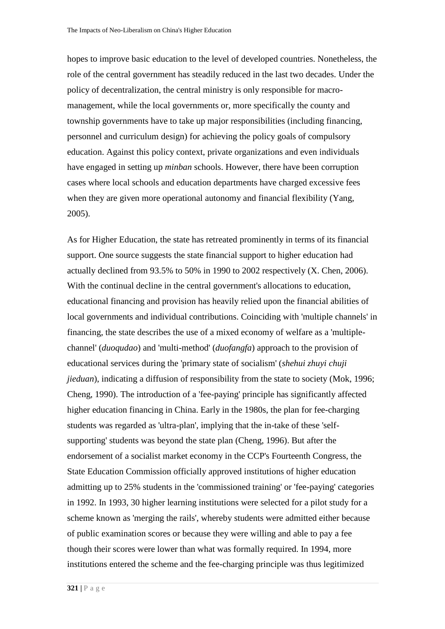hopes to improve basic education to the level of developed countries. Nonetheless, the role of the central government has steadily reduced in the last two decades. Under the policy of decentralization, the central ministry is only responsible for macromanagement, while the local governments or, more specifically the county and township governments have to take up major responsibilities (including financing, personnel and curriculum design) for achieving the policy goals of compulsory education. Against this policy context, private organizations and even individuals have engaged in setting up *minban* schools. However, there have been corruption cases where local schools and education departments have charged excessive fees when they are given more operational autonomy and financial flexibility (Yang, 2005).

As for Higher Education, the state has retreated prominently in terms of its financial support. One source suggests the state financial support to higher education had actually declined from 93.5% to 50% in 1990 to 2002 respectively (X. Chen, 2006). With the continual decline in the central government's allocations to education, educational financing and provision has heavily relied upon the financial abilities of local governments and individual contributions. Coinciding with 'multiple channels' in financing, the state describes the use of a mixed economy of welfare as a 'multiplechannel' (*duoqudao*) and 'multi-method' (*duofangfa*) approach to the provision of educational services during the 'primary state of socialism' (*shehui zhuyi chuji jieduan*), indicating a diffusion of responsibility from the state to society (Mok, 1996; Cheng, 1990). The introduction of a 'fee-paying' principle has significantly affected higher education financing in China. Early in the 1980s, the plan for fee-charging students was regarded as 'ultra-plan', implying that the in-take of these 'selfsupporting' students was beyond the state plan (Cheng, 1996). But after the endorsement of a socialist market economy in the CCP's Fourteenth Congress, the State Education Commission officially approved institutions of higher education admitting up to 25% students in the 'commissioned training' or 'fee-paying' categories in 1992. In 1993, 30 higher learning institutions were selected for a pilot study for a scheme known as 'merging the rails', whereby students were admitted either because of public examination scores or because they were willing and able to pay a fee though their scores were lower than what was formally required. In 1994, more institutions entered the scheme and the fee-charging principle was thus legitimized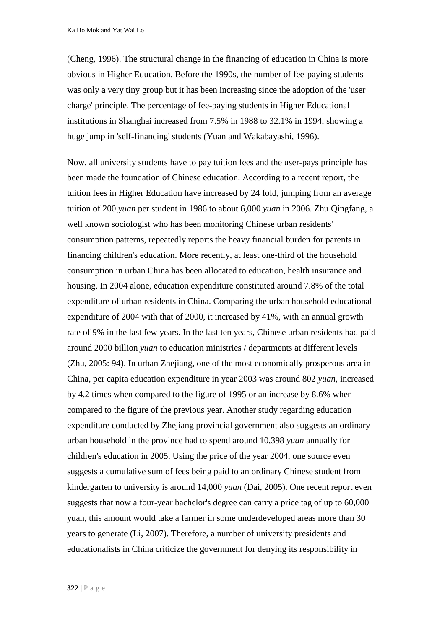Ka Ho Mok and Yat Wai Lo

(Cheng, 1996). The structural change in the financing of education in China is more obvious in Higher Education. Before the 1990s, the number of fee-paying students was only a very tiny group but it has been increasing since the adoption of the 'user charge' principle. The percentage of fee-paying students in Higher Educational institutions in Shanghai increased from 7.5% in 1988 to 32.1% in 1994, showing a huge jump in 'self-financing' students (Yuan and Wakabayashi, 1996).

Now, all university students have to pay tuition fees and the user-pays principle has been made the foundation of Chinese education. According to a recent report, the tuition fees in Higher Education have increased by 24 fold, jumping from an average tuition of 200 *yuan* per student in 1986 to about 6,000 *yuan* in 2006. Zhu Qingfang, a well known sociologist who has been monitoring Chinese urban residents' consumption patterns, repeatedly reports the heavy financial burden for parents in financing children's education. More recently, at least one-third of the household consumption in urban China has been allocated to education, health insurance and housing. In 2004 alone, education expenditure constituted around 7.8% of the total expenditure of urban residents in China. Comparing the urban household educational expenditure of 2004 with that of 2000, it increased by 41%, with an annual growth rate of 9% in the last few years. In the last ten years, Chinese urban residents had paid around 2000 billion *yuan* to education ministries / departments at different levels (Zhu, 2005: 94). In urban Zhejiang, one of the most economically prosperous area in China, per capita education expenditure in year 2003 was around 802 *yuan*, increased by 4.2 times when compared to the figure of 1995 or an increase by 8.6% when compared to the figure of the previous year. Another study regarding education expenditure conducted by Zhejiang provincial government also suggests an ordinary urban household in the province had to spend around 10,398 *yuan* annually for children's education in 2005. Using the price of the year 2004, one source even suggests a cumulative sum of fees being paid to an ordinary Chinese student from kindergarten to university is around 14,000 *yuan* (Dai, 2005). One recent report even suggests that now a four-year bachelor's degree can carry a price tag of up to 60,000 yuan, this amount would take a farmer in some underdeveloped areas more than 30 years to generate (Li, 2007). Therefore, a number of university presidents and educationalists in China criticize the government for denying its responsibility in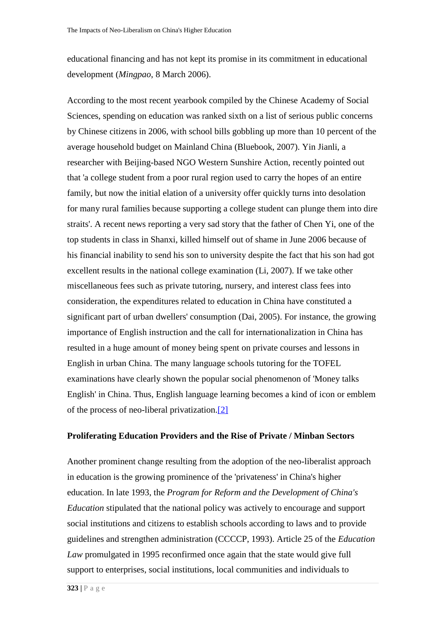educational financing and has not kept its promise in its commitment in educational development (*Mingpao*, 8 March 2006).

According to the most recent yearbook compiled by the Chinese Academy of Social Sciences, spending on education was ranked sixth on a list of serious public concerns by Chinese citizens in 2006, with school bills gobbling up more than 10 percent of the average household budget on Mainland China (Bluebook, 2007). Yin Jianli, a researcher with Beijing-based NGO Western Sunshire Action, recently pointed out that 'a college student from a poor rural region used to carry the hopes of an entire family, but now the initial elation of a university offer quickly turns into desolation for many rural families because supporting a college student can plunge them into dire straits'. A recent news reporting a very sad story that the father of Chen Yi, one of the top students in class in Shanxi, killed himself out of shame in June 2006 because of his financial inability to send his son to university despite the fact that his son had got excellent results in the national college examination (Li, 2007). If we take other miscellaneous fees such as private tutoring, nursery, and interest class fees into consideration, the expenditures related to education in China have constituted a significant part of urban dwellers' consumption (Dai, 2005). For instance, the growing importance of English instruction and the call for internationalization in China has resulted in a huge amount of money being spent on private courses and lessons in English in urban China. The many language schools tutoring for the TOFEL examinations have clearly shown the popular social phenomenon of 'Money talks English' in China. Thus, English language learning becomes a kind of icon or emblem of the process of neo-liberal privatization[.\[2\]](http://www.jceps.com/index.php?pageID=article&articleID=93#_ftn2)

#### **Proliferating Education Providers and the Rise of Private / Minban Sectors**

Another prominent change resulting from the adoption of the neo-liberalist approach in education is the growing prominence of the 'privateness' in China's higher education. In late 1993, the *Program for Reform and the Development of China's Education* stipulated that the national policy was actively to encourage and support social institutions and citizens to establish schools according to laws and to provide guidelines and strengthen administration (CCCCP, 1993). Article 25 of the *Education Law* promulgated in 1995 reconfirmed once again that the state would give full support to enterprises, social institutions, local communities and individuals to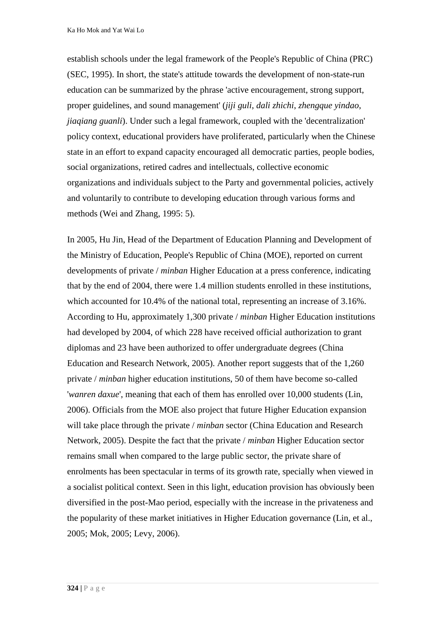Ka Ho Mok and Yat Wai Lo

establish schools under the legal framework of the People's Republic of China (PRC) (SEC, 1995). In short, the state's attitude towards the development of non-state-run education can be summarized by the phrase 'active encouragement, strong support, proper guidelines, and sound management' (*jiji guli*, *dali zhichi*, *zhengque yindao*, *jiaqiang guanli*). Under such a legal framework, coupled with the 'decentralization' policy context, educational providers have proliferated, particularly when the Chinese state in an effort to expand capacity encouraged all democratic parties, people bodies, social organizations, retired cadres and intellectuals, collective economic organizations and individuals subject to the Party and governmental policies, actively and voluntarily to contribute to developing education through various forms and methods (Wei and Zhang, 1995: 5).

In 2005, Hu Jin, Head of the Department of Education Planning and Development of the Ministry of Education, People's Republic of China (MOE), reported on current developments of private / *minban* Higher Education at a press conference, indicating that by the end of 2004, there were 1.4 million students enrolled in these institutions, which accounted for 10.4% of the national total, representing an increase of 3.16%. According to Hu, approximately 1,300 private / *minban* Higher Education institutions had developed by 2004, of which 228 have received official authorization to grant diplomas and 23 have been authorized to offer undergraduate degrees (China Education and Research Network, 2005). Another report suggests that of the 1,260 private / *minban* higher education institutions, 50 of them have become so-called '*wanren daxue*', meaning that each of them has enrolled over 10,000 students (Lin, 2006). Officials from the MOE also project that future Higher Education expansion will take place through the private / *minban* sector (China Education and Research Network, 2005). Despite the fact that the private / *minban* Higher Education sector remains small when compared to the large public sector, the private share of enrolments has been spectacular in terms of its growth rate, specially when viewed in a socialist political context. Seen in this light, education provision has obviously been diversified in the post-Mao period, especially with the increase in the privateness and the popularity of these market initiatives in Higher Education governance (Lin, et al., 2005; Mok, 2005; Levy, 2006).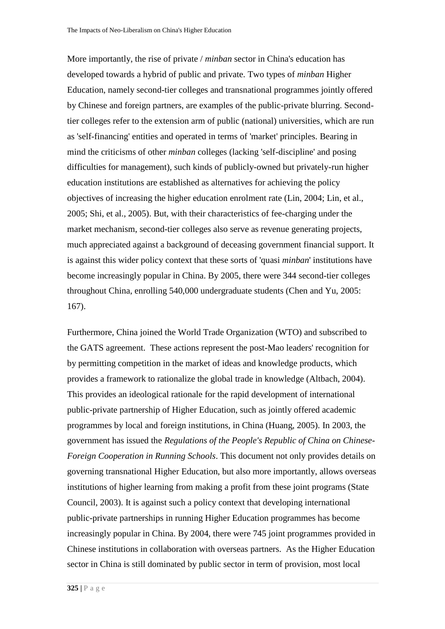More importantly, the rise of private / *minban* sector in China's education has developed towards a hybrid of public and private. Two types of *minban* Higher Education, namely second-tier colleges and transnational programmes jointly offered by Chinese and foreign partners, are examples of the public-private blurring. Secondtier colleges refer to the extension arm of public (national) universities, which are run as 'self-financing' entities and operated in terms of 'market' principles. Bearing in mind the criticisms of other *minban* colleges (lacking 'self-discipline' and posing difficulties for management), such kinds of publicly-owned but privately-run higher education institutions are established as alternatives for achieving the policy objectives of increasing the higher education enrolment rate (Lin, 2004; Lin, et al., 2005; Shi, et al., 2005). But, with their characteristics of fee-charging under the market mechanism, second-tier colleges also serve as revenue generating projects, much appreciated against a background of deceasing government financial support. It is against this wider policy context that these sorts of 'quasi *minban*' institutions have become increasingly popular in China. By 2005, there were 344 second-tier colleges throughout China, enrolling 540,000 undergraduate students (Chen and Yu, 2005: 167).

Furthermore, China joined the World Trade Organization (WTO) and subscribed to the GATS agreement. These actions represent the post-Mao leaders' recognition for by permitting competition in the market of ideas and knowledge products, which provides a framework to rationalize the global trade in knowledge (Altbach, 2004). This provides an ideological rationale for the rapid development of international public-private partnership of Higher Education, such as jointly offered academic programmes by local and foreign institutions, in China (Huang, 2005). In 2003, the government has issued the *Regulations of the People's Republic of China on Chinese-Foreign Cooperation in Running Schools*. This document not only provides details on governing transnational Higher Education, but also more importantly, allows overseas institutions of higher learning from making a profit from these joint programs (State Council, 2003). It is against such a policy context that developing international public-private partnerships in running Higher Education programmes has become increasingly popular in China. By 2004, there were 745 joint programmes provided in Chinese institutions in collaboration with overseas partners. As the Higher Education sector in China is still dominated by public sector in term of provision, most local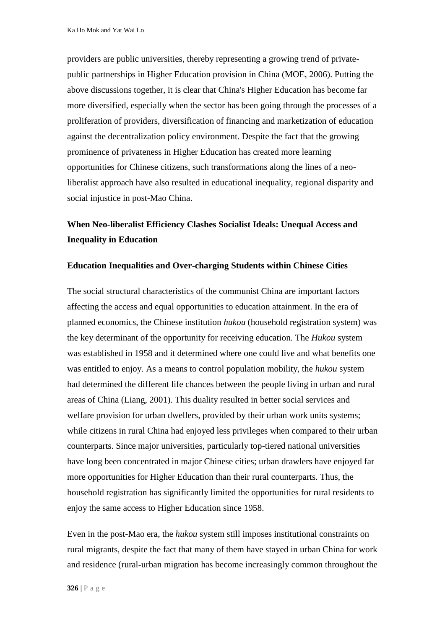providers are public universities, thereby representing a growing trend of privatepublic partnerships in Higher Education provision in China (MOE, 2006). Putting the above discussions together, it is clear that China's Higher Education has become far more diversified, especially when the sector has been going through the processes of a proliferation of providers, diversification of financing and marketization of education against the decentralization policy environment. Despite the fact that the growing prominence of privateness in Higher Education has created more learning opportunities for Chinese citizens, such transformations along the lines of a neoliberalist approach have also resulted in educational inequality, regional disparity and social injustice in post-Mao China.

# **When Neo-liberalist Efficiency Clashes Socialist Ideals: Unequal Access and Inequality in Education**

### **Education Inequalities and Over-charging Students within Chinese Cities**

The social structural characteristics of the communist China are important factors affecting the access and equal opportunities to education attainment. In the era of planned economics, the Chinese institution *hukou* (household registration system) was the key determinant of the opportunity for receiving education. The *Hukou* system was established in 1958 and it determined where one could live and what benefits one was entitled to enjoy. As a means to control population mobility, the *hukou* system had determined the different life chances between the people living in urban and rural areas of China (Liang, 2001). This duality resulted in better social services and welfare provision for urban dwellers, provided by their urban work units systems; while citizens in rural China had enjoyed less privileges when compared to their urban counterparts. Since major universities, particularly top-tiered national universities have long been concentrated in major Chinese cities; urban drawlers have enjoyed far more opportunities for Higher Education than their rural counterparts. Thus, the household registration has significantly limited the opportunities for rural residents to enjoy the same access to Higher Education since 1958.

Even in the post-Mao era, the *hukou* system still imposes institutional constraints on rural migrants, despite the fact that many of them have stayed in urban China for work and residence (rural-urban migration has become increasingly common throughout the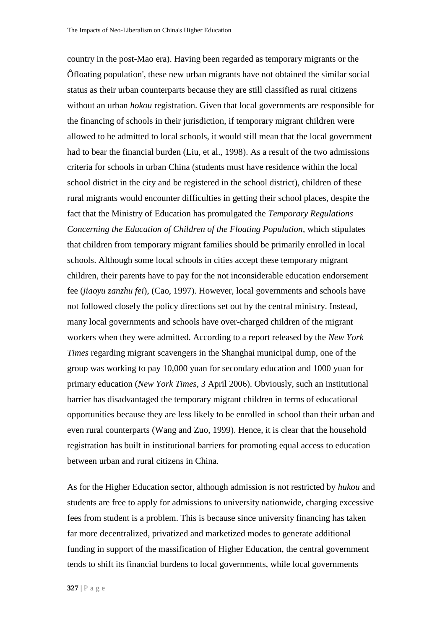country in the post-Mao era). Having been regarded as temporary migrants or the Ôfloating population', these new urban migrants have not obtained the similar social status as their urban counterparts because they are still classified as rural citizens without an urban *hokou* registration. Given that local governments are responsible for the financing of schools in their jurisdiction, if temporary migrant children were allowed to be admitted to local schools, it would still mean that the local government had to bear the financial burden (Liu, et al., 1998). As a result of the two admissions criteria for schools in urban China (students must have residence within the local school district in the city and be registered in the school district), children of these rural migrants would encounter difficulties in getting their school places, despite the fact that the Ministry of Education has promulgated the *Temporary Regulations Concerning the Education of Children of the Floating Population*, which stipulates that children from temporary migrant families should be primarily enrolled in local schools. Although some local schools in cities accept these temporary migrant children, their parents have to pay for the not inconsiderable education endorsement fee (*jiaoyu zanzhu fei*), (Cao, 1997). However, local governments and schools have not followed closely the policy directions set out by the central ministry. Instead, many local governments and schools have over-charged children of the migrant workers when they were admitted. According to a report released by the *New York Times* regarding migrant scavengers in the Shanghai municipal dump, one of the group was working to pay 10,000 yuan for secondary education and 1000 yuan for primary education (*New York Times*, 3 April 2006). Obviously, such an institutional barrier has disadvantaged the temporary migrant children in terms of educational opportunities because they are less likely to be enrolled in school than their urban and even rural counterparts (Wang and Zuo, 1999). Hence, it is clear that the household registration has built in institutional barriers for promoting equal access to education between urban and rural citizens in China.

As for the Higher Education sector, although admission is not restricted by *hukou* and students are free to apply for admissions to university nationwide, charging excessive fees from student is a problem. This is because since university financing has taken far more decentralized, privatized and marketized modes to generate additional funding in support of the massification of Higher Education, the central government tends to shift its financial burdens to local governments, while local governments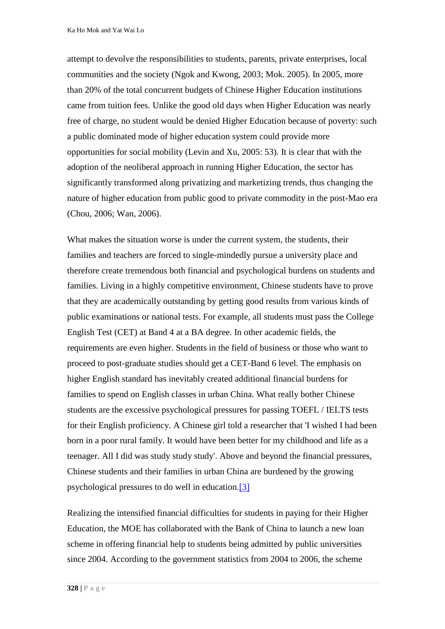Ka Ho Mok and Yat Wai Lo

attempt to devolve the responsibilities to students, parents, private enterprises, local communities and the society (Ngok and Kwong, 2003; Mok. 2005). In 2005, more than 20% of the total concurrent budgets of Chinese Higher Education institutions came from tuition fees. Unlike the good old days when Higher Education was nearly free of charge, no student would be denied Higher Education because of poverty: such a public dominated mode of higher education system could provide more opportunities for social mobility (Levin and Xu, 2005: 53). It is clear that with the adoption of the neoliberal approach in running Higher Education, the sector has significantly transformed along privatizing and marketizing trends, thus changing the nature of higher education from public good to private commodity in the post-Mao era (Chou, 2006; Wan, 2006).

What makes the situation worse is under the current system, the students, their families and teachers are forced to single-mindedly pursue a university place and therefore create tremendous both financial and psychological burdens on students and families. Living in a highly competitive environment, Chinese students have to prove that they are academically outstanding by getting good results from various kinds of public examinations or national tests. For example, all students must pass the College English Test (CET) at Band 4 at a BA degree. In other academic fields, the requirements are even higher. Students in the field of business or those who want to proceed to post-graduate studies should get a CET-Band 6 level. The emphasis on higher English standard has inevitably created additional financial burdens for families to spend on English classes in urban China. What really bother Chinese students are the excessive psychological pressures for passing TOEFL / IELTS tests for their English proficiency. A Chinese girl told a researcher that 'I wished I had been born in a poor rural family. It would have been better for my childhood and life as a teenager. All I did was study study study'. Above and beyond the financial pressures, Chinese students and their families in urban China are burdened by the growing psychological pressures to do well in education[.\[3\]](http://www.jceps.com/index.php?pageID=article&articleID=93#_ftn3)

Realizing the intensified financial difficulties for students in paying for their Higher Education, the MOE has collaborated with the Bank of China to launch a new loan scheme in offering financial help to students being admitted by public universities since 2004. According to the government statistics from 2004 to 2006, the scheme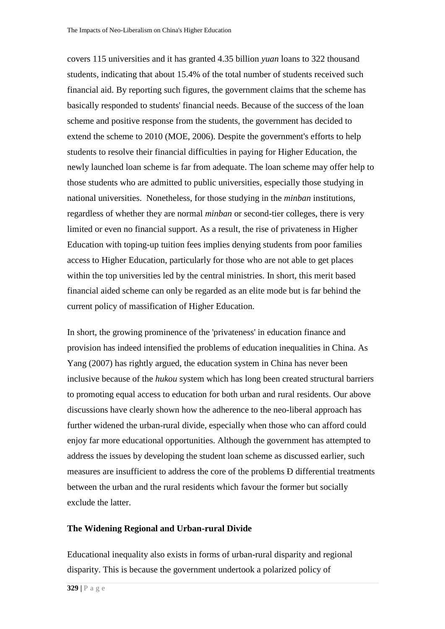covers 115 universities and it has granted 4.35 billion *yuan* loans to 322 thousand students, indicating that about 15.4% of the total number of students received such financial aid. By reporting such figures, the government claims that the scheme has basically responded to students' financial needs. Because of the success of the loan scheme and positive response from the students, the government has decided to extend the scheme to 2010 (MOE, 2006). Despite the government's efforts to help students to resolve their financial difficulties in paying for Higher Education, the newly launched loan scheme is far from adequate. The loan scheme may offer help to those students who are admitted to public universities, especially those studying in national universities. Nonetheless, for those studying in the *minban* institutions, regardless of whether they are normal *minban* or second-tier colleges, there is very limited or even no financial support. As a result, the rise of privateness in Higher Education with toping-up tuition fees implies denying students from poor families access to Higher Education, particularly for those who are not able to get places within the top universities led by the central ministries. In short, this merit based financial aided scheme can only be regarded as an elite mode but is far behind the current policy of massification of Higher Education.

In short, the growing prominence of the 'privateness' in education finance and provision has indeed intensified the problems of education inequalities in China. As Yang (2007) has rightly argued, the education system in China has never been inclusive because of the *hukou* system which has long been created structural barriers to promoting equal access to education for both urban and rural residents. Our above discussions have clearly shown how the adherence to the neo-liberal approach has further widened the urban-rural divide, especially when those who can afford could enjoy far more educational opportunities. Although the government has attempted to address the issues by developing the student loan scheme as discussed earlier, such measures are insufficient to address the core of the problems Ð differential treatments between the urban and the rural residents which favour the former but socially exclude the latter.

#### **The Widening Regional and Urban-rural Divide**

Educational inequality also exists in forms of urban-rural disparity and regional disparity. This is because the government undertook a polarized policy of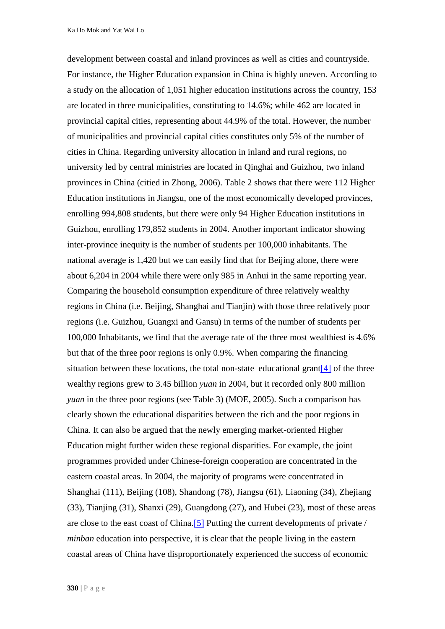development between coastal and inland provinces as well as cities and countryside. For instance, the Higher Education expansion in China is highly uneven. According to a study on the allocation of 1,051 higher education institutions across the country, 153 are located in three municipalities, constituting to 14.6%; while 462 are located in provincial capital cities, representing about 44.9% of the total. However, the number of municipalities and provincial capital cities constitutes only 5% of the number of cities in China. Regarding university allocation in inland and rural regions, no university led by central ministries are located in Qinghai and Guizhou, two inland provinces in China (citied in Zhong, 2006). Table 2 shows that there were 112 Higher Education institutions in Jiangsu, one of the most economically developed provinces, enrolling 994,808 students, but there were only 94 Higher Education institutions in Guizhou, enrolling 179,852 students in 2004. Another important indicator showing inter-province inequity is the number of students per 100,000 inhabitants. The national average is 1,420 but we can easily find that for Beijing alone, there were about 6,204 in 2004 while there were only 985 in Anhui in the same reporting year. Comparing the household consumption expenditure of three relatively wealthy regions in China (i.e. Beijing, Shanghai and Tianjin) with those three relatively poor regions (i.e. Guizhou, Guangxi and Gansu) in terms of the number of students per 100,000 Inhabitants, we find that the average rate of the three most wealthiest is 4.6% but that of the three poor regions is only 0.9%. When comparing the financing situation between these locations, the total non-state educational gran[t\[4\]](http://www.jceps.com/index.php?pageID=article&articleID=93#_ftn4) of the three wealthy regions grew to 3.45 billion *yuan* in 2004, but it recorded only 800 million *yuan* in the three poor regions (see Table 3) (MOE, 2005). Such a comparison has clearly shown the educational disparities between the rich and the poor regions in China. It can also be argued that the newly emerging market-oriented Higher Education might further widen these regional disparities. For example, the joint programmes provided under Chinese-foreign cooperation are concentrated in the eastern coastal areas. In 2004, the majority of programs were concentrated in Shanghai (111), Beijing (108), Shandong (78), Jiangsu (61), Liaoning (34), Zhejiang (33), Tianjing (31), Shanxi (29), Guangdong (27), and Hubei (23), most of these areas are close to the east coast of China[.\[5\]](http://www.jceps.com/index.php?pageID=article&articleID=93#_ftn5) Putting the current developments of private / *minban* education into perspective, it is clear that the people living in the eastern coastal areas of China have disproportionately experienced the success of economic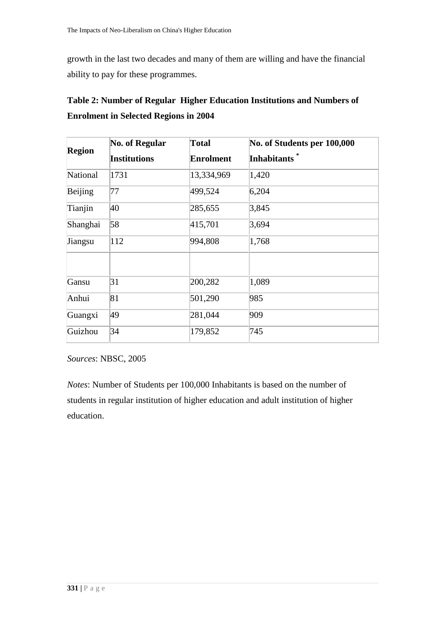growth in the last two decades and many of them are willing and have the financial ability to pay for these programmes.

|               | No. of Regular      | <b>Total</b>     | No. of Students per 100,000<br><b>Inhabitants</b> |  |
|---------------|---------------------|------------------|---------------------------------------------------|--|
| <b>Region</b> | <b>Institutions</b> | <b>Enrolment</b> |                                                   |  |
| National      | 1731                | 13,334,969       | 1,420                                             |  |
| Beijing       | 77                  | 499,524          | 6,204                                             |  |
| Tianjin       | 40                  | 285,655          | 3,845                                             |  |
| Shanghai      | 58                  | 415,701          | 3,694                                             |  |
| Jiangsu       | 112                 | 994,808          | 1,768                                             |  |
|               |                     |                  |                                                   |  |
| Gansu         | 31                  | 200,282          | 1,089                                             |  |
| Anhui         | 81                  | 501,290          | 985                                               |  |
| Guangxi       | 49                  | 281,044          | 909                                               |  |
| Guizhou       | 34                  | 179,852          | 745                                               |  |

| Table 2: Number of Regular Higher Education Institutions and Numbers of |  |  |
|-------------------------------------------------------------------------|--|--|
| <b>Enrolment in Selected Regions in 2004</b>                            |  |  |

*Sources*: NBSC, 2005

*Notes*: Number of Students per 100,000 Inhabitants is based on the number of students in regular institution of higher education and adult institution of higher education.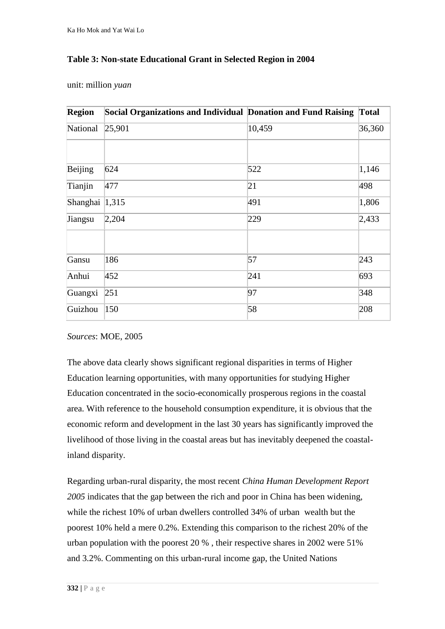# **Table 3: Non-state Educational Grant in Selected Region in 2004**

unit: million *yuan*

| <b>Region</b>  | Social Organizations and Individual Donation and Fund Raising |        | <b>Total</b> |
|----------------|---------------------------------------------------------------|--------|--------------|
| National       | 25,901                                                        | 10,459 | 36,360       |
|                |                                                               |        |              |
| Beijing        | 624                                                           | 522    | 1,146        |
| Tianjin        | 477                                                           | 21     | 498          |
| Shanghai 1,315 |                                                               | 491    | 1,806        |
| Jiangsu        | 2,204                                                         | 229    | 2,433        |
|                |                                                               |        |              |
| Gansu          | 186                                                           | 57     | 243          |
| Anhui          | 452                                                           | 241    | 693          |
| Guangxi        | 251                                                           | 97     | 348          |
| Guizhou        | 150                                                           | 58     | 208          |

*Sources*: MOE, 2005

The above data clearly shows significant regional disparities in terms of Higher Education learning opportunities, with many opportunities for studying Higher Education concentrated in the socio-economically prosperous regions in the coastal area. With reference to the household consumption expenditure, it is obvious that the economic reform and development in the last 30 years has significantly improved the livelihood of those living in the coastal areas but has inevitably deepened the coastalinland disparity.

Regarding urban-rural disparity, the most recent *China Human Development Report 2005* indicates that the gap between the rich and poor in China has been widening, while the richest 10% of urban dwellers controlled 34% of urban wealth but the poorest 10% held a mere 0.2%. Extending this comparison to the richest 20% of the urban population with the poorest 20 % , their respective shares in 2002 were 51% and 3.2%. Commenting on this urban-rural income gap, the United Nations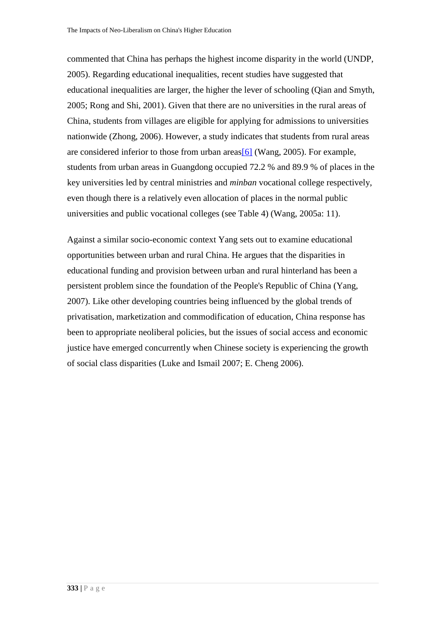commented that China has perhaps the highest income disparity in the world (UNDP, 2005). Regarding educational inequalities, recent studies have suggested that educational inequalities are larger, the higher the lever of schooling (Qian and Smyth, 2005; Rong and Shi, 2001). Given that there are no universities in the rural areas of China, students from villages are eligible for applying for admissions to universities nationwide (Zhong, 2006). However, a study indicates that students from rural areas are considered inferior to those from urban area[s\[6\]](http://www.jceps.com/index.php?pageID=article&articleID=93#_ftn6) (Wang, 2005). For example, students from urban areas in Guangdong occupied 72.2 % and 89.9 % of places in the key universities led by central ministries and *minban* vocational college respectively, even though there is a relatively even allocation of places in the normal public universities and public vocational colleges (see Table 4) (Wang, 2005a: 11).

Against a similar socio-economic context Yang sets out to examine educational opportunities between urban and rural China. He argues that the disparities in educational funding and provision between urban and rural hinterland has been a persistent problem since the foundation of the People's Republic of China (Yang, 2007). Like other developing countries being influenced by the global trends of privatisation, marketization and commodification of education, China response has been to appropriate neoliberal policies, but the issues of social access and economic justice have emerged concurrently when Chinese society is experiencing the growth of social class disparities (Luke and Ismail 2007; E. Cheng 2006).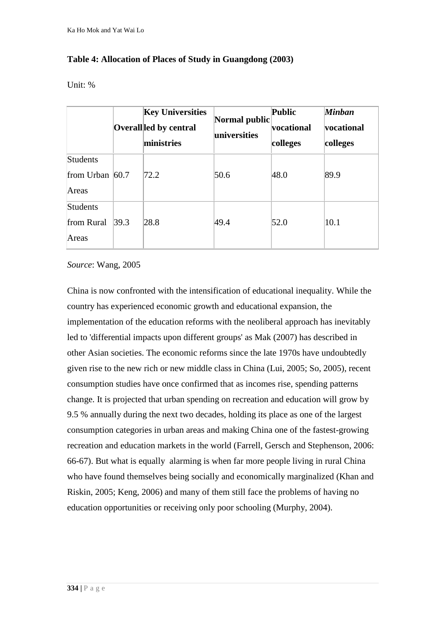# **Table 4: Allocation of Places of Study in Guangdong (2003)**

Unit: %

|                                        |      | <b>Key Universities</b><br>Overallled by central<br>ministries | Normal public<br>universities | <b>Public</b><br>vocational<br>colleges | <b>Minban</b><br>vocational<br>colleges |
|----------------------------------------|------|----------------------------------------------------------------|-------------------------------|-----------------------------------------|-----------------------------------------|
| Students<br>from Urban $60.7$<br>Areas |      | 72.2                                                           | 50.6                          | 48.0                                    | 89.9                                    |
| <b>Students</b><br>from Rural<br>Areas | 39.3 | 28.8                                                           | 49.4                          | 52.0                                    | 10.1                                    |

*Source*: Wang, 2005

China is now confronted with the intensification of educational inequality. While the country has experienced economic growth and educational expansion, the implementation of the education reforms with the neoliberal approach has inevitably led to 'differential impacts upon different groups' as Mak (2007) has described in other Asian societies. The economic reforms since the late 1970s have undoubtedly given rise to the new rich or new middle class in China (Lui, 2005; So, 2005), recent consumption studies have once confirmed that as incomes rise, spending patterns change. It is projected that urban spending on recreation and education will grow by 9.5 % annually during the next two decades, holding its place as one of the largest consumption categories in urban areas and making China one of the fastest-growing recreation and education markets in the world (Farrell, Gersch and Stephenson, 2006: 66-67). But what is equally alarming is when far more people living in rural China who have found themselves being socially and economically marginalized (Khan and Riskin, 2005; Keng, 2006) and many of them still face the problems of having no education opportunities or receiving only poor schooling (Murphy, 2004).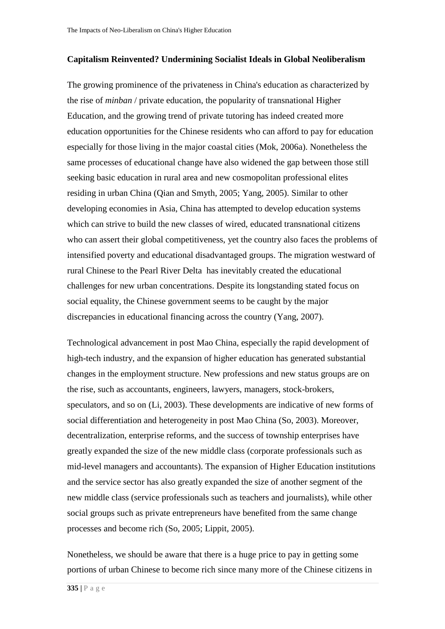#### **Capitalism Reinvented? Undermining Socialist Ideals in Global Neoliberalism**

The growing prominence of the privateness in China's education as characterized by the rise of *minban* / private education, the popularity of transnational Higher Education, and the growing trend of private tutoring has indeed created more education opportunities for the Chinese residents who can afford to pay for education especially for those living in the major coastal cities (Mok, 2006a). Nonetheless the same processes of educational change have also widened the gap between those still seeking basic education in rural area and new cosmopolitan professional elites residing in urban China (Qian and Smyth, 2005; Yang, 2005). Similar to other developing economies in Asia, China has attempted to develop education systems which can strive to build the new classes of wired, educated transnational citizens who can assert their global competitiveness, yet the country also faces the problems of intensified poverty and educational disadvantaged groups. The migration westward of rural Chinese to the Pearl River Delta has inevitably created the educational challenges for new urban concentrations. Despite its longstanding stated focus on social equality, the Chinese government seems to be caught by the major discrepancies in educational financing across the country (Yang, 2007).

Technological advancement in post Mao China, especially the rapid development of high-tech industry, and the expansion of higher education has generated substantial changes in the employment structure. New professions and new status groups are on the rise, such as accountants, engineers, lawyers, managers, stock-brokers, speculators, and so on (Li, 2003). These developments are indicative of new forms of social differentiation and heterogeneity in post Mao China (So, 2003). Moreover, decentralization, enterprise reforms, and the success of township enterprises have greatly expanded the size of the new middle class (corporate professionals such as mid-level managers and accountants). The expansion of Higher Education institutions and the service sector has also greatly expanded the size of another segment of the new middle class (service professionals such as teachers and journalists), while other social groups such as private entrepreneurs have benefited from the same change processes and become rich (So, 2005; Lippit, 2005).

Nonetheless, we should be aware that there is a huge price to pay in getting some portions of urban Chinese to become rich since many more of the Chinese citizens in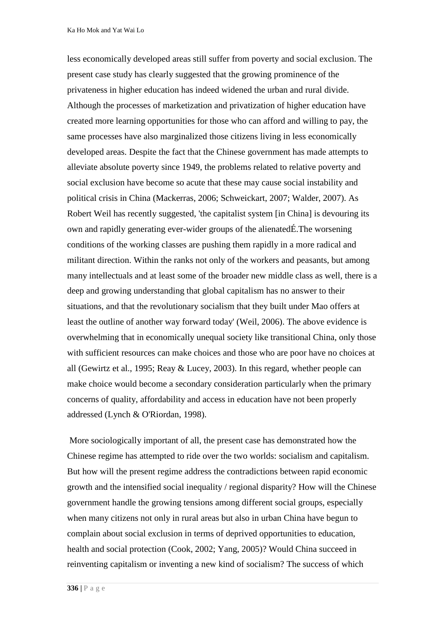less economically developed areas still suffer from poverty and social exclusion. The present case study has clearly suggested that the growing prominence of the privateness in higher education has indeed widened the urban and rural divide. Although the processes of marketization and privatization of higher education have created more learning opportunities for those who can afford and willing to pay, the same processes have also marginalized those citizens living in less economically developed areas. Despite the fact that the Chinese government has made attempts to alleviate absolute poverty since 1949, the problems related to relative poverty and social exclusion have become so acute that these may cause social instability and political crisis in China (Mackerras, 2006; Schweickart, 2007; Walder, 2007). As Robert Weil has recently suggested, 'the capitalist system [in China] is devouring its own and rapidly generating ever-wider groups of the alienatedÉ.The worsening conditions of the working classes are pushing them rapidly in a more radical and militant direction. Within the ranks not only of the workers and peasants, but among many intellectuals and at least some of the broader new middle class as well, there is a deep and growing understanding that global capitalism has no answer to their situations, and that the revolutionary socialism that they built under Mao offers at least the outline of another way forward today' (Weil, 2006). The above evidence is overwhelming that in economically unequal society like transitional China, only those with sufficient resources can make choices and those who are poor have no choices at all (Gewirtz et al., 1995; Reay & Lucey, 2003). In this regard, whether people can make choice would become a secondary consideration particularly when the primary concerns of quality, affordability and access in education have not been properly addressed (Lynch & O'Riordan, 1998).

More sociologically important of all, the present case has demonstrated how the Chinese regime has attempted to ride over the two worlds: socialism and capitalism. But how will the present regime address the contradictions between rapid economic growth and the intensified social inequality / regional disparity? How will the Chinese government handle the growing tensions among different social groups, especially when many citizens not only in rural areas but also in urban China have begun to complain about social exclusion in terms of deprived opportunities to education, health and social protection (Cook, 2002; Yang, 2005)? Would China succeed in reinventing capitalism or inventing a new kind of socialism? The success of which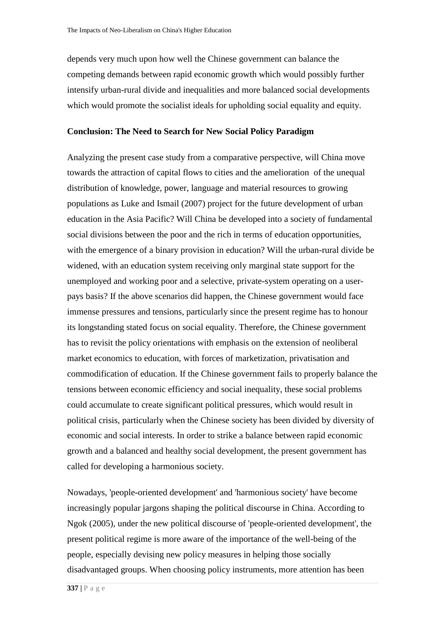depends very much upon how well the Chinese government can balance the competing demands between rapid economic growth which would possibly further intensify urban-rural divide and inequalities and more balanced social developments which would promote the socialist ideals for upholding social equality and equity.

### **Conclusion: The Need to Search for New Social Policy Paradigm**

Analyzing the present case study from a comparative perspective, will China move towards the attraction of capital flows to cities and the amelioration of the unequal distribution of knowledge, power, language and material resources to growing populations as Luke and Ismail (2007) project for the future development of urban education in the Asia Pacific? Will China be developed into a society of fundamental social divisions between the poor and the rich in terms of education opportunities, with the emergence of a binary provision in education? Will the urban-rural divide be widened, with an education system receiving only marginal state support for the unemployed and working poor and a selective, private-system operating on a userpays basis? If the above scenarios did happen, the Chinese government would face immense pressures and tensions, particularly since the present regime has to honour its longstanding stated focus on social equality. Therefore, the Chinese government has to revisit the policy orientations with emphasis on the extension of neoliberal market economics to education, with forces of marketization, privatisation and commodification of education. If the Chinese government fails to properly balance the tensions between economic efficiency and social inequality, these social problems could accumulate to create significant political pressures, which would result in political crisis, particularly when the Chinese society has been divided by diversity of economic and social interests. In order to strike a balance between rapid economic growth and a balanced and healthy social development, the present government has called for developing a harmonious society.

Nowadays, 'people-oriented development' and 'harmonious society' have become increasingly popular jargons shaping the political discourse in China. According to Ngok (2005), under the new political discourse of 'people-oriented development', the present political regime is more aware of the importance of the well-being of the people, especially devising new policy measures in helping those socially disadvantaged groups. When choosing policy instruments, more attention has been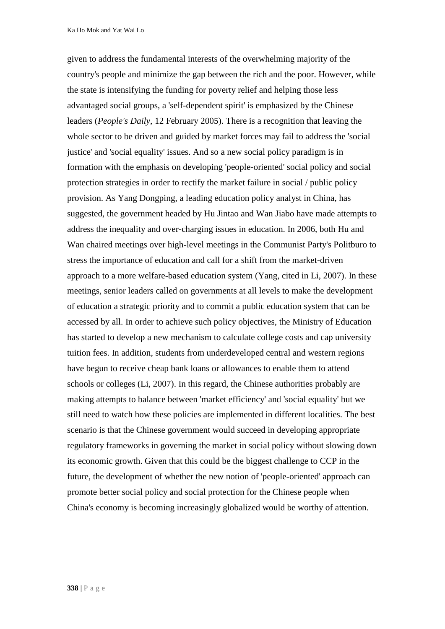Ka Ho Mok and Yat Wai Lo

given to address the fundamental interests of the overwhelming majority of the country's people and minimize the gap between the rich and the poor. However, while the state is intensifying the funding for poverty relief and helping those less advantaged social groups, a 'self-dependent spirit' is emphasized by the Chinese leaders (*People's Daily*, 12 February 2005). There is a recognition that leaving the whole sector to be driven and guided by market forces may fail to address the 'social justice' and 'social equality' issues. And so a new social policy paradigm is in formation with the emphasis on developing 'people-oriented' social policy and social protection strategies in order to rectify the market failure in social / public policy provision. As Yang Dongping, a leading education policy analyst in China, has suggested, the government headed by Hu Jintao and Wan Jiabo have made attempts to address the inequality and over-charging issues in education. In 2006, both Hu and Wan chaired meetings over high-level meetings in the Communist Party's Politburo to stress the importance of education and call for a shift from the market-driven approach to a more welfare-based education system (Yang, cited in Li, 2007). In these meetings, senior leaders called on governments at all levels to make the development of education a strategic priority and to commit a public education system that can be accessed by all. In order to achieve such policy objectives, the Ministry of Education has started to develop a new mechanism to calculate college costs and cap university tuition fees. In addition, students from underdeveloped central and western regions have begun to receive cheap bank loans or allowances to enable them to attend schools or colleges (Li, 2007). In this regard, the Chinese authorities probably are making attempts to balance between 'market efficiency' and 'social equality' but we still need to watch how these policies are implemented in different localities. The best scenario is that the Chinese government would succeed in developing appropriate regulatory frameworks in governing the market in social policy without slowing down its economic growth. Given that this could be the biggest challenge to CCP in the future, the development of whether the new notion of 'people-oriented' approach can promote better social policy and social protection for the Chinese people when China's economy is becoming increasingly globalized would be worthy of attention.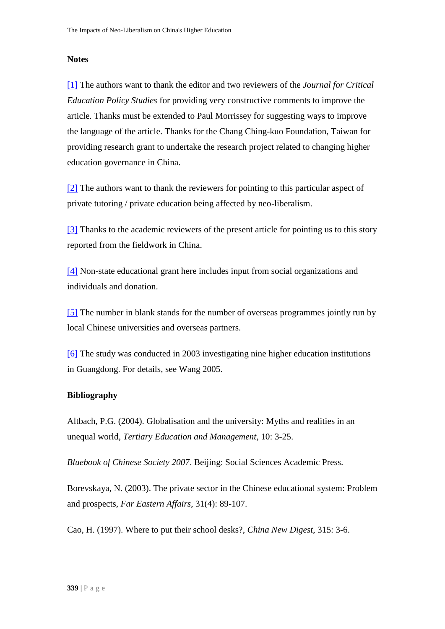### **Notes**

[\[1\]](http://www.jceps.com/index.php?pageID=article&articleID=93#_ftnref1) The authors want to thank the editor and two reviewers of the *Journal for Critical Education Policy Studies* for providing very constructive comments to improve the article. Thanks must be extended to Paul Morrissey for suggesting ways to improve the language of the article. Thanks for the Chang Ching-kuo Foundation, Taiwan for providing research grant to undertake the research project related to changing higher education governance in China.

[\[2\]](http://www.jceps.com/index.php?pageID=article&articleID=93#_ftnref2) The authors want to thank the reviewers for pointing to this particular aspect of private tutoring / private education being affected by neo-liberalism.

[\[3\]](http://www.jceps.com/index.php?pageID=article&articleID=93#_ftnref3) Thanks to the academic reviewers of the present article for pointing us to this story reported from the fieldwork in China.

[\[4\]](http://www.jceps.com/index.php?pageID=article&articleID=93#_ftnref4) Non-state educational grant here includes input from social organizations and individuals and donation.

[\[5\]](http://www.jceps.com/index.php?pageID=article&articleID=93#_ftnref5) The number in blank stands for the number of overseas programmes jointly run by local Chinese universities and overseas partners.

[\[6\]](http://www.jceps.com/index.php?pageID=article&articleID=93#_ftnref6) The study was conducted in 2003 investigating nine higher education institutions in Guangdong. For details, see Wang 2005.

# **Bibliography**

Altbach, P.G. (2004). Globalisation and the university: Myths and realities in an unequal world, *Tertiary Education and Management*, 10: 3-25.

*Bluebook of Chinese Society 2007*. Beijing: Social Sciences Academic Press.

Borevskaya, N. (2003). The private sector in the Chinese educational system: Problem and prospects, *Far Eastern Affairs*, 31(4): 89-107.

Cao, H. (1997). Where to put their school desks?, *China New Digest*, 315: 3-6.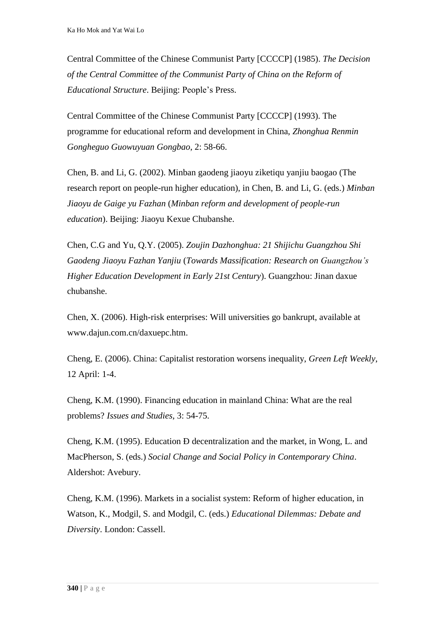Central Committee of the Chinese Communist Party [CCCCP] (1985). *The Decision of the Central Committee of the Communist Party of China on the Reform of Educational Structure*. Beijing: People's Press.

Central Committee of the Chinese Communist Party [CCCCP] (1993). The programme for educational reform and development in China, *Zhonghua Renmin Gongheguo Guowuyuan Gongbao*, 2: 58-66.

Chen, B. and Li, G. (2002). Minban gaodeng jiaoyu ziketiqu yanjiu baogao (The research report on people-run higher education), in Chen, B. and Li, G. (eds.) *Minban Jiaoyu de Gaige yu Fazhan* (*Minban reform and development of people-run education*). Beijing: Jiaoyu Kexue Chubanshe.

Chen, C.G and Yu, Q.Y. (2005). *Zoujin Dazhonghua: 21 Shijichu Guangzhou Shi Gaodeng Jiaoyu Fazhan Yanjiu* (*Towards Massification: Research on Guangzhou's Higher Education Development in Early 21st Century*). Guangzhou: Jinan daxue chubanshe.

Chen, X. (2006). High-risk enterprises: Will universities go bankrupt, available at www.dajun.com.cn/daxuepc.htm.

Cheng, E. (2006). China: Capitalist restoration worsens inequality, *Green Left Weekly*, 12 April: 1-4.

Cheng, K.M. (1990). Financing education in mainland China: What are the real problems? *Issues and Studies*, 3: 54-75.

Cheng, K.M. (1995). Education Ð decentralization and the market, in Wong, L. and MacPherson, S. (eds.) *Social Change and Social Policy in Contemporary China*. Aldershot: Avebury.

Cheng, K.M. (1996). Markets in a socialist system: Reform of higher education, in Watson, K., Modgil, S. and Modgil, C. (eds.) *Educational Dilemmas: Debate and Diversity*. London: Cassell.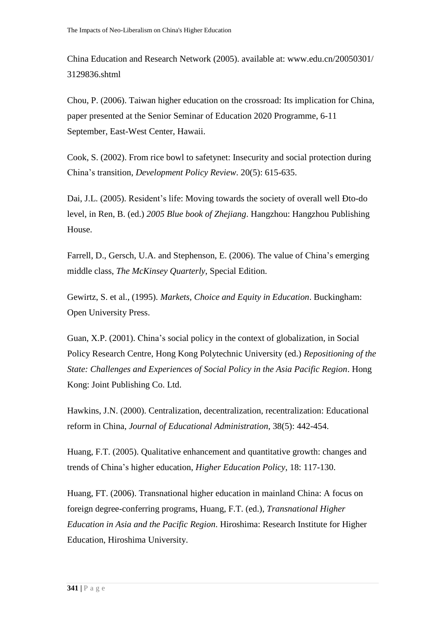China Education and Research Network (2005). available at: www.edu.cn/20050301/ 3129836.shtml

Chou, P. (2006). Taiwan higher education on the crossroad: Its implication for China, paper presented at the Senior Seminar of Education 2020 Programme, 6-11 September, East-West Center, Hawaii.

Cook, S. (2002). From rice bowl to safetynet: Insecurity and social protection during China's transition, *Development Policy Review*. 20(5): 615-635.

Dai, J.L. (2005). Resident's life: Moving towards the society of overall well Ðto-do level, in Ren, B. (ed.) *2005 Blue book of Zhejiang*. Hangzhou: Hangzhou Publishing House.

Farrell, D., Gersch, U.A. and Stephenson, E. (2006). The value of China's emerging middle class, *The McKinsey Quarterly*, Special Edition.

Gewirtz, S. et al., (1995). *Markets, Choice and Equity in Education*. Buckingham: Open University Press.

Guan, X.P. (2001). China's social policy in the context of globalization, in Social Policy Research Centre, Hong Kong Polytechnic University (ed.) *Repositioning of the State: Challenges and Experiences of Social Policy in the Asia Pacific Region*. Hong Kong: Joint Publishing Co. Ltd.

Hawkins, J.N. (2000). Centralization, decentralization, recentralization: Educational reform in China, *Journal of Educational Administration*, 38(5): 442-454.

Huang, F.T. (2005). Qualitative enhancement and quantitative growth: changes and trends of China's higher education, *Higher Education Policy*, 18: 117-130.

Huang, FT. (2006). Transnational higher education in mainland China: A focus on foreign degree-conferring programs, Huang, F.T. (ed.), *Transnational Higher Education in Asia and the Pacific Region*. Hiroshima: Research Institute for Higher Education, Hiroshima University.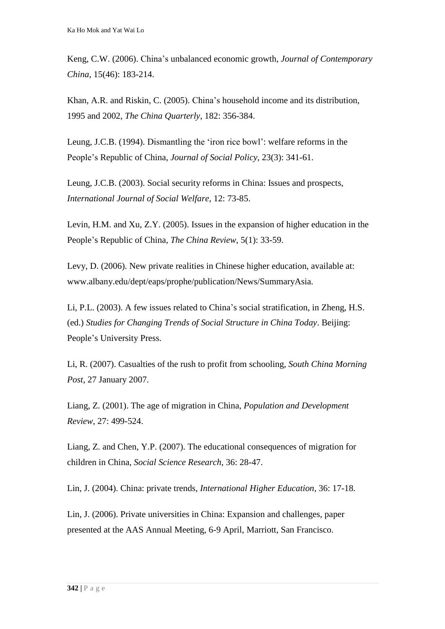Keng, C.W. (2006). China's unbalanced economic growth, *Journal of Contemporary China*, 15(46): 183-214.

Khan, A.R. and Riskin, C. (2005). China's household income and its distribution, 1995 and 2002, *The China Quarterly*, 182: 356-384.

Leung, J.C.B. (1994). Dismantling the 'iron rice bowl': welfare reforms in the People's Republic of China, *Journal of Social Policy*, 23(3): 341-61.

Leung, J.C.B. (2003). Social security reforms in China: Issues and prospects, *International Journal of Social Welfare*, 12: 73-85.

Levin, H.M. and Xu, Z.Y. (2005). Issues in the expansion of higher education in the People's Republic of China, *The China Review*, 5(1): 33-59.

Levy, D. (2006). New private realities in Chinese higher education, available at: www.albany.edu/dept/eaps/prophe/publication/News/SummaryAsia.

Li, P.L. (2003). A few issues related to China's social stratification, in Zheng, H.S. (ed.) *Studies for Changing Trends of Social Structure in China Today*. Beijing: People's University Press.

Li, R. (2007). Casualties of the rush to profit from schooling, *South China Morning Post*, 27 January 2007.

Liang, Z. (2001). The age of migration in China, *Population and Development Review*, 27: 499-524.

Liang, Z. and Chen, Y.P. (2007). The educational consequences of migration for children in China, *Social Science Research*, 36: 28-47.

Lin, J. (2004). China: private trends, *International Higher Education*, 36: 17-18.

Lin, J. (2006). Private universities in China: Expansion and challenges, paper presented at the AAS Annual Meeting, 6-9 April, Marriott, San Francisco.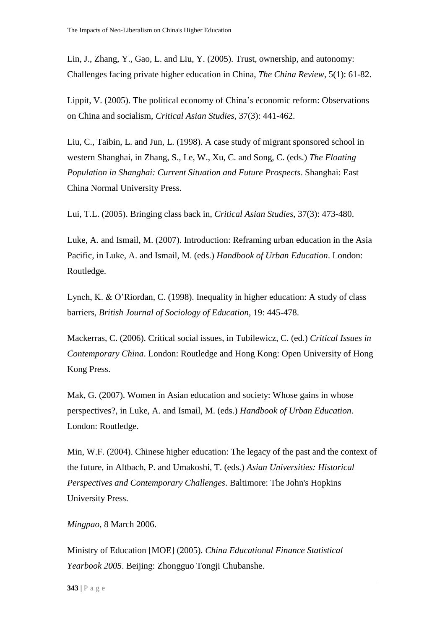Lin, J., Zhang, Y., Gao, L. and Liu, Y. (2005). Trust, ownership, and autonomy: Challenges facing private higher education in China, *The China Review*, 5(1): 61-82.

Lippit, V. (2005). The political economy of China's economic reform: Observations on China and socialism, *Critical Asian Studies*, 37(3): 441-462.

Liu, C., Taibin, L. and Jun, L. (1998). A case study of migrant sponsored school in western Shanghai, in Zhang, S., Le, W., Xu, C. and Song, C. (eds.) *The Floating Population in Shanghai: Current Situation and Future Prospects*. Shanghai: East China Normal University Press.

Lui, T.L. (2005). Bringing class back in, *Critical Asian Studies*, 37(3): 473-480.

Luke, A. and Ismail, M. (2007). Introduction: Reframing urban education in the Asia Pacific, in Luke, A. and Ismail, M. (eds.) *Handbook of Urban Education*. London: Routledge.

Lynch, K. & O'Riordan, C. (1998). Inequality in higher education: A study of class barriers, *British Journal of Sociology of Education*, 19: 445-478.

Mackerras, C. (2006). Critical social issues, in Tubilewicz, C. (ed.) *Critical Issues in Contemporary China*. London: Routledge and Hong Kong: Open University of Hong Kong Press.

Mak, G. (2007). Women in Asian education and society: Whose gains in whose perspectives?, in Luke, A. and Ismail, M. (eds.) *Handbook of Urban Education*. London: Routledge.

Min, W.F. (2004). Chinese higher education: The legacy of the past and the context of the future, in Altbach, P. and Umakoshi, T. (eds.) *Asian Universities: Historical Perspectives and Contemporary Challenges*. Baltimore: The John's Hopkins University Press.

*Mingpao*, 8 March 2006.

Ministry of Education [MOE] (2005). *China Educational Finance Statistical Yearbook 2005*. Beijing: Zhongguo Tongji Chubanshe.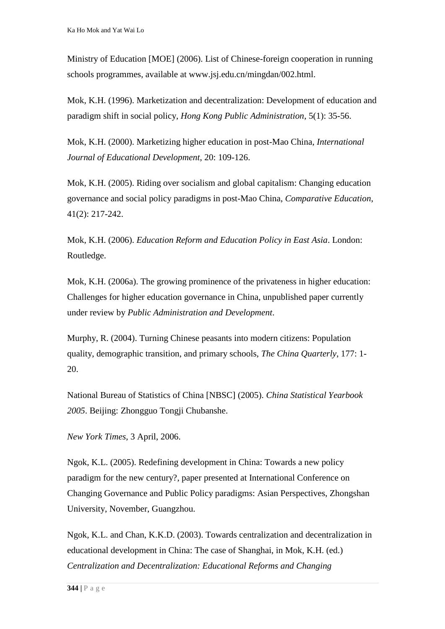Ministry of Education [MOE] (2006). List of Chinese-foreign cooperation in running schools programmes, available at www.jsj.edu.cn/mingdan/002.html.

Mok, K.H. (1996). Marketization and decentralization: Development of education and paradigm shift in social policy, *Hong Kong Public Administration*, 5(1): 35-56.

Mok, K.H. (2000). Marketizing higher education in post-Mao China, *International Journal of Educational Development*, 20: 109-126.

Mok, K.H. (2005). Riding over socialism and global capitalism: Changing education governance and social policy paradigms in post-Mao China, *Comparative Education*, 41(2): 217-242.

Mok, K.H. (2006). *Education Reform and Education Policy in East Asia*. London: Routledge.

Mok, K.H. (2006a). The growing prominence of the privateness in higher education: Challenges for higher education governance in China, unpublished paper currently under review by *Public Administration and Development*.

Murphy, R. (2004). Turning Chinese peasants into modern citizens: Population quality, demographic transition, and primary schools, *The China Quarterly*, 177: 1- 20.

National Bureau of Statistics of China [NBSC] (2005). *China Statistical Yearbook 2005*. Beijing: Zhongguo Tongji Chubanshe.

*New York Times*, 3 April, 2006.

Ngok, K.L. (2005). Redefining development in China: Towards a new policy paradigm for the new century?, paper presented at International Conference on Changing Governance and Public Policy paradigms: Asian Perspectives, Zhongshan University, November, Guangzhou.

Ngok, K.L. and Chan, K.K.D. (2003). Towards centralization and decentralization in educational development in China: The case of Shanghai, in Mok, K.H. (ed.) *Centralization and Decentralization: Educational Reforms and Changing*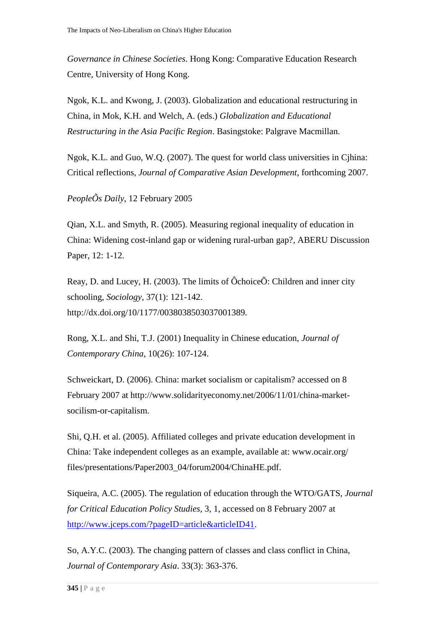*Governance in Chinese Societies*. Hong Kong: Comparative Education Research Centre, University of Hong Kong.

Ngok, K.L. and Kwong, J. (2003). Globalization and educational restructuring in China, in Mok, K.H. and Welch, A. (eds.) *Globalization and Educational Restructuring in the Asia Pacific Region*. Basingstoke: Palgrave Macmillan.

Ngok, K.L. and Guo, W.Q. (2007). The quest for world class universities in Cjhina: Critical reflections, *Journal of Comparative Asian Development*, forthcoming 2007.

*PeopleÕs Daily*, 12 February 2005

Qian, X.L. and Smyth, R. (2005). Measuring regional inequality of education in China: Widening cost-inland gap or widening rural-urban gap?, ABERU Discussion Paper, 12: 1-12.

Reay, D. and Lucey, H. (2003). The limits of ÔchoiceÕ: Children and inner city schooling, *Sociology*, 37(1): 121-142. http://dx.doi.org/10/1177/0038038503037001389.

Rong, X.L. and Shi, T.J. (2001) Inequality in Chinese education, *Journal of Contemporary China*, 10(26): 107-124.

Schweickart, D. (2006). China: market socialism or capitalism? accessed on 8 February 2007 at http://www.solidarityeconomy.net/2006/11/01/china-marketsocilism-or-capitalism.

Shi, Q.H. et al. (2005). Affiliated colleges and private education development in China: Take independent colleges as an example, available at: www.ocair.org/ files/presentations/Paper2003\_04/forum2004/ChinaHE.pdf.

Siqueira, A.C. (2005). The regulation of education through the WTO/GATS, *Journal for Critical Education Policy Studies*, 3, 1, accessed on 8 February 2007 at [http://www.jceps.com/?pageID=article&articleID41.](http://www.jceps.com/?pageID=article&articleID41)

So, A.Y.C. (2003). The changing pattern of classes and class conflict in China, *Journal of Contemporary Asia*. 33(3): 363-376.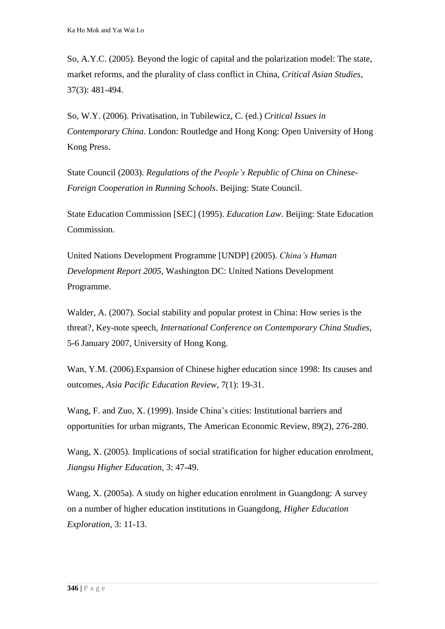So, A.Y.C. (2005). Beyond the logic of capital and the polarization model: The state, market reforms, and the plurality of class conflict in China, *Critical Asian Studies*, 37(3): 481-494.

So, W.Y. (2006). Privatisation, in Tubilewicz, C. (ed.) *Critical Issues in Contemporary China*. London: Routledge and Hong Kong: Open University of Hong Kong Press.

State Council (2003). *Regulations of the People's Republic of China on Chinese-Foreign Cooperation in Running Schools*. Beijing: State Council.

State Education Commission [SEC] (1995). *Education Law*. Beijing: State Education Commission.

United Nations Development Programme [UNDP] (2005). *China's Human Development Report 2005*, Washington DC: United Nations Development Programme.

Walder, A. (2007). Social stability and popular protest in China: How series is the threat?, Key-note speech, *International Conference on Contemporary China Studies*, 5-6 January 2007, University of Hong Kong.

Wan, Y.M. (2006).Expansion of Chinese higher education since 1998: Its causes and outcomes, *Asia Pacific Education Review*, 7(1): 19-31.

Wang, F. and Zuo, X. (1999). Inside China's cities: Institutional barriers and opportunities for urban migrants, The American Economic Review, 89(2), 276-280.

Wang, X. (2005). Implications of social stratification for higher education enrolment, *Jiangsu Higher Education*, 3: 47-49.

Wang, X. (2005a). A study on higher education enrolment in Guangdong: A survey on a number of higher education institutions in Guangdong, *Higher Education Exploration*, 3: 11-13.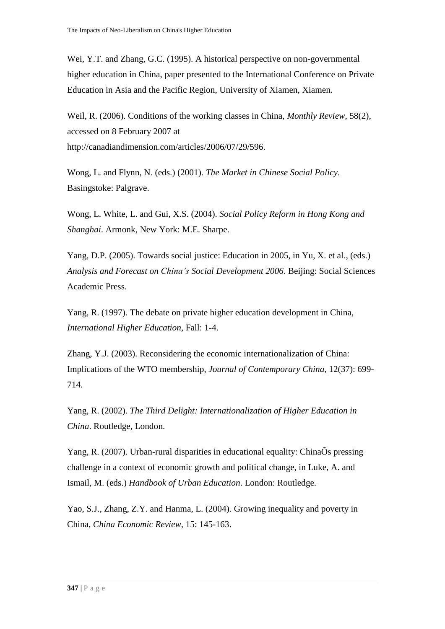Wei, Y.T. and Zhang, G.C. (1995). A historical perspective on non-governmental higher education in China, paper presented to the International Conference on Private Education in Asia and the Pacific Region, University of Xiamen, Xiamen.

Weil, R. (2006). Conditions of the working classes in China, *Monthly Review*, 58(2), accessed on 8 February 2007 at http://canadiandimension.com/articles/2006/07/29/596.

Wong, L. and Flynn, N. (eds.) (2001). *The Market in Chinese Social Policy*. Basingstoke: Palgrave.

Wong, L. White, L. and Gui, X.S. (2004). *Social Policy Reform in Hong Kong and Shanghai*. Armonk, New York: M.E. Sharpe.

Yang, D.P. (2005). Towards social justice: Education in 2005, in Yu, X. et al., (eds.) *Analysis and Forecast on China's Social Development 2006*. Beijing: Social Sciences Academic Press.

Yang, R. (1997). The debate on private higher education development in China, *International Higher Education*, Fall: 1-4.

Zhang, Y.J. (2003). Reconsidering the economic internationalization of China: Implications of the WTO membership, *Journal of Contemporary China*, 12(37): 699- 714.

Yang, R. (2002). *The Third Delight: Internationalization of Higher Education in China*. Routledge, London.

Yang, R. (2007). Urban-rural disparities in educational equality: ChinaÕs pressing challenge in a context of economic growth and political change, in Luke, A. and Ismail, M. (eds.) *Handbook of Urban Education*. London: Routledge.

Yao, S.J., Zhang, Z.Y. and Hanma, L. (2004). Growing inequality and poverty in China, *China Economic Review*, 15: 145-163.